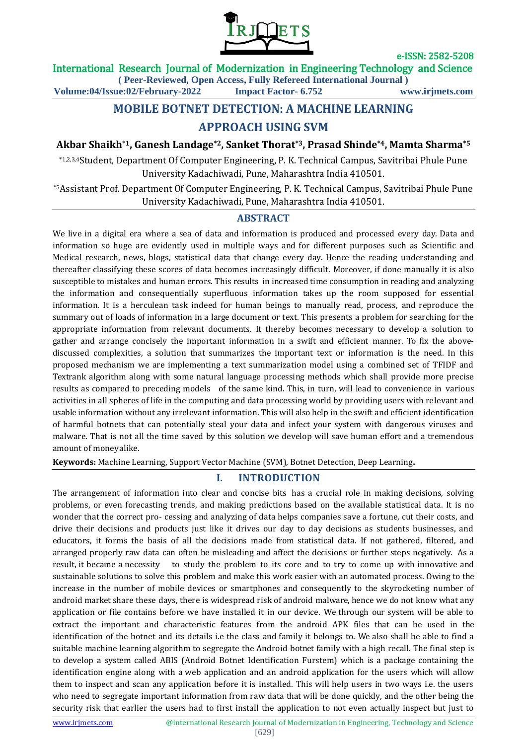

### International Research Journal of Modernization in Engineering Technology and Science

**( Peer-Reviewed, Open Access, Fully Refereed International Journal )**

**Volume:04/Issue:02/February-2022 Impact Factor- 6.752 www.irjmets.com**

# **MOBILE BOTNET DETECTION: A MACHINE LEARNING APPROACH USING SVM**

**Akbar Shaikh\*1, Ganesh Landage\*2, Sanket Thorat\*3, Prasad Shinde\*4, Mamta Sharma\*5**

\*1,2,3,4Student, Department Of Computer Engineering, P. K. Technical Campus, Savitribai Phule Pune University Kadachiwadi, Pune, Maharashtra India 410501.

\*5Assistant Prof. Department Of Computer Engineering, P. K. Technical Campus, Savitribai Phule Pune University Kadachiwadi, Pune, Maharashtra India 410501.

### **ABSTRACT**

We live in a digital era where a sea of data and information is produced and processed every day. Data and information so huge are evidently used in multiple ways and for different purposes such as Scientific and Medical research, news, blogs, statistical data that change every day. Hence the reading understanding and thereafter classifying these scores of data becomes increasingly difficult. Moreover, if done manually it is also susceptible to mistakes and human errors. This results in increased time consumption in reading and analyzing the information and consequentially superfluous information takes up the room supposed for essential information. It is a herculean task indeed for human beings to manually read, process, and reproduce the summary out of loads of information in a large document or text. This presents a problem for searching for the appropriate information from relevant documents. It thereby becomes necessary to develop a solution to gather and arrange concisely the important information in a swift and efficient manner. To fix the abovediscussed complexities, a solution that summarizes the important text or information is the need. In this proposed mechanism we are implementing a text summarization model using a combined set of TFIDF and Textrank algorithm along with some natural language processing methods which shall provide more precise results as compared to preceding models of the same kind. This, in turn, will lead to convenience in various activities in all spheres of life in the computing and data processing world by providing users with relevant and usable information without any irrelevant information. This will also help in the swift and efficient identification of harmful botnets that can potentially steal your data and infect your system with dangerous viruses and malware. That is not all the time saved by this solution we develop will save human effort and a tremendous amount of moneyalike.

**Keywords:** Machine Learning, Support Vector Machine (SVM), Botnet Detection, Deep Learning**.**

## **I. INTRODUCTION**

The arrangement of information into clear and concise bits has a crucial role in making decisions, solving problems, or even forecasting trends, and making predictions based on the available statistical data. It is no wonder that the correct pro- cessing and analyzing of data helps companies save a fortune, cut their costs, and drive their decisions and products just like it drives our day to day decisions as students businesses, and educators, it forms the basis of all the decisions made from statistical data. If not gathered, filtered, and arranged properly raw data can often be misleading and affect the decisions or further steps negatively. As a result, it became a necessity to study the problem to its core and to try to come up with innovative and sustainable solutions to solve this problem and make this work easier with an automated process. Owing to the increase in the number of mobile devices or smartphones and consequently to the skyrocketing number of android market share these days, there is widespread risk of android malware, hence we do not know what any application or file contains before we have installed it in our device. We through our system will be able to extract the important and characteristic features from the android APK files that can be used in the identification of the botnet and its details i.e the class and family it belongs to. We also shall be able to find a suitable machine learning algorithm to segregate the Android botnet family with a high recall. The final step is to develop a system called ABIS (Android Botnet Identification Furstem) which is a package containing the identification engine along with a web application and an android application for the users which will allow them to inspect and scan any application before it is installed. This will help users in two ways i.e. the users who need to segregate important information from raw data that will be done quickly, and the other being the security risk that earlier the users had to first install the application to not even actually inspect but just to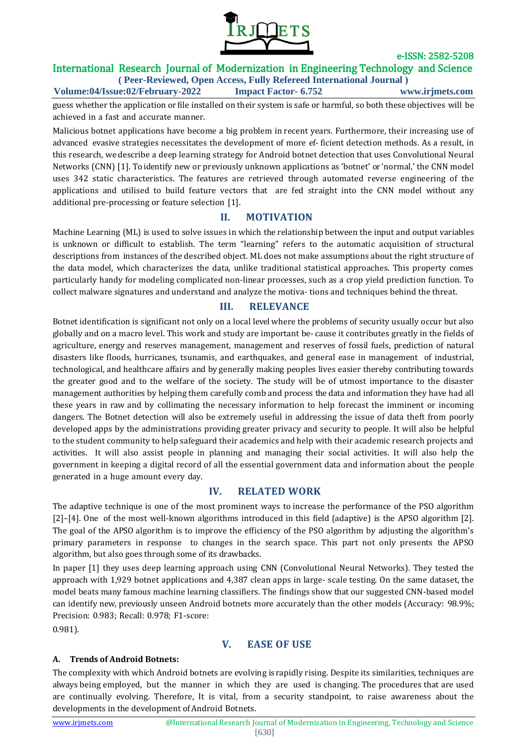

## International Research Journal of Modernization in Engineering Technology and Science

**( Peer-Reviewed, Open Access, Fully Refereed International Journal ) Volume:04/Issue:02/February-2022 Impact Factor- 6.752 www.irjmets.com**

guess whether the application or file installed on their system is safe or harmful, so both these objectives will be achieved in a fast and accurate manner.

Malicious botnet applications have become a big problem in recent years. Furthermore, their increasing use of advanced evasive strategies necessitates the development of more ef- ficient detection methods. As a result, in this research, we describe a deep learning strategy for Android botnet detection that uses Convolutional Neural Networks (CNN) [\[1\]](#page-7-0). To identify new or previously unknown applications as 'botnet' or 'normal,' the CNN model uses 342 static characteristics. The features are retrieved through automated reverse engineering of the applications and utilised to build feature vectors that are fed straight into the CNN model without any additional pre-processing or feature selection [\[1\]](#page-7-0).

## **II. MOTIVATION**

Machine Learning (ML) is used to solve issues in which the relationship between the input and output variables is unknown or difficult to establish. The term "learning" refers to the automatic acquisition of structural descriptions from instances of the described object. ML does not make assumptions about the right structure of the data model, which characterizes the data, unlike traditional statistical approaches. This property comes particularly handy for modeling complicated non-linear processes, such as a crop yield prediction function. To collect malware signatures and understand and analyze the motiva- tions and techniques behind the threat.

## **III. RELEVANCE**

Botnet identification is significant not only on a local level where the problems of security usually occur but also globally and on a macro level. This work and study are important be- cause it contributes greatly in the fields of agriculture, energy and reserves management, management and reserves of fossil fuels, prediction of natural disasters like floods, hurricanes, tsunamis, and earthquakes, and general ease in management of industrial, technological, and healthcare affairs and by generally making peoples lives easier thereby contributing towards the greater good and to the welfare of the society. The study will be of utmost importance to the disaster management authorities by helping them carefully comb and process the data and information they have had all these years in raw and by collimating the necessary information to help forecast the imminent or incoming dangers. The Botnet detection will also be extremely useful in addressing the issue of data theft from poorly developed apps by the administrations providing greater privacy and security to people. It will also be helpful to the student community to help safeguard their academics and help with their academic research projects and activities. It will also assist people in planning and managing their social activities. It will also help the government in keeping a digital record of all the essential government data and information about the people generated in a huge amount every day.

## **IV. RELATED WORK**

The adaptive technique is one of the most prominent ways to increase the performance of the PSO algorithm [\[2\]](#page-7-1)–[\[4\]](#page-7-2). One of the most well-known algorithms introduced in this field (adaptive) is the APSO algorithm [\[2\]](#page-7-1). The goal of the APSO algorithm is to improve the efficiency of the PSO algorithm by adjusting the algorithm's primary parameters in response to changes in the search space. This part not only presents the APSO algorithm, but also goes through some of its drawbacks.

In paper [\[1\]](#page-7-0) they uses deep learning approach using CNN (Convolutional Neural Networks). They tested the approach with 1,929 botnet applications and 4,387 clean apps in large- scale testing. On the same dataset, the model beats many famous machine learning classifiers. The findings show that our suggested CNN-based model can identify new, previously unseen Android botnets more accurately than the other models (Accuracy: 98.9%; Precision: 0.983; Recall: 0.978; F1-score:

0.981).

## **V. EASE OF USE**

### **A. Trends of Android Botnets:**

The complexity with which Android botnets are evolving is rapidly rising. Despite its similarities, techniques are always being employed, but the manner in which they are used is changing. The procedures that are used are continually evolving. Therefore, It is vital, from a security standpoint, to raise awareness about the developments in the development of Android Botnets.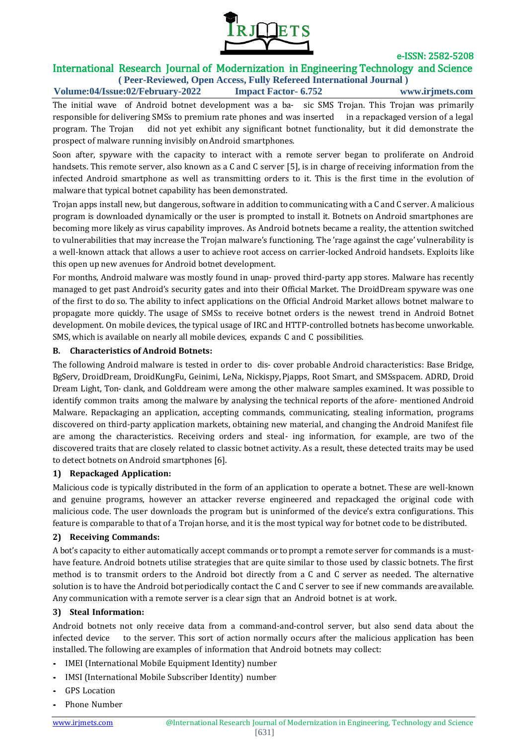

## International Research Journal of Modernization in Engineering Technology and Science

**( Peer-Reviewed, Open Access, Fully Refereed International Journal ) Volume:04/Issue:02/February-2022 Impact Factor- 6.752 www.irjmets.com**

The initial wave of Android botnet development was a ba- sic SMS Trojan. This Trojan was primarily responsible for delivering SMSs to premium rate phones and was inserted in a repackaged version of a legal program. The Trojan did not yet exhibit any significant botnet functionality, but it did demonstrate the prospect of malware running invisibly on Android smartphones.

Soon after, spyware with the capacity to interact with a remote server began to proliferate on Android handsets. This remote server, also known as a C and C server [\[5\]](#page-7-3), is in charge of receiving information from the infected Android smartphone as well as transmitting orders to it. This is the first time in the evolution of malware that typical botnet capability has been demonstrated.

Trojan apps install new, but dangerous, software in addition to communicating with a C and C server. A malicious program is downloaded dynamically or the user is prompted to install it. Botnets on Android smartphones are becoming more likely as virus capability improves. As Android botnets became a reality, the attention switched to vulnerabilities that may increase the Trojan malware's functioning. The 'rage against the cage' vulnerability is a well-known attack that allows a user to achieve root access on carrier-locked Android handsets. Exploits like this open up new avenues for Android botnet development.

For months, Android malware was mostly found in unap- proved third-party app stores. Malware has recently managed to get past Android's security gates and into their Official Market. The DroidDream spyware was one of the first to do so. The ability to infect applications on the Official Android Market allows botnet malware to propagate more quickly. The usage of SMSs to receive botnet orders is the newest trend in Android Botnet development. On mobile devices, the typical usage of IRC and HTTP-controlled botnets hasbecome unworkable. SMS, which is available on nearly all mobile devices, expands C and C possibilities.

#### **B. Characteristics of Android Botnets:**

The following Android malware is tested in order to dis- cover probable Android characteristics: Base Bridge, BgServ, DroidDream, DroidKungFu, Geinimi, LeNa, Nickispy, Pjapps, Root Smart, and SMSspacem. ADRD, Droid Dream Light, Ton- clank, and Golddream were among the other malware samples examined. It was possible to identify common traits among the malware by analysing the technical reports of the afore- mentioned Android Malware. Repackaging an application, accepting commands, communicating, stealing information, programs discovered on third-party application markets, obtaining new material, and changing the Android Manifest file are among the characteristics. Receiving orders and steal- ing information, for example, are two of the discovered traits that are closely related to classic botnet activity. As a result, these detected traits may be used to detect botnets on Android smartphones [\[6\]](#page-7-4).

#### **1) Repackaged Application:**

Malicious code is typically distributed in the form of an application to operate a botnet. These are well-known and genuine programs, however an attacker reverse engineered and repackaged the original code with malicious code. The user downloads the program but is uninformed of the device's extra configurations. This feature is comparable to that of a Trojan horse, and it is the most typical way for botnet code to be distributed.

#### **2) Receiving Commands:**

A bot's capacity to either automatically accept commands or to prompt a remote server for commands is a musthave feature. Android botnets utilise strategies that are quite similar to those used by classic botnets. The first method is to transmit orders to the Android bot directly from a C and C server as needed. The alternative solution is to have the Android botperiodically contact the C and C server to see if new commands are available. Any communication with a remote server is a clear sign that an Android botnet is at work.

#### **3) Steal Information:**

Android botnets not only receive data from a command-and-control server, but also send data about the infected device to the server. This sort of action normally occurs after the malicious application has been installed. The following are examples of information that Android botnets may collect:

- *•* IMEI (International Mobile Equipment Identity) number
- *•* IMSI (International Mobile Subscriber Identity) number
- *•* GPS Location
- *•* Phone Number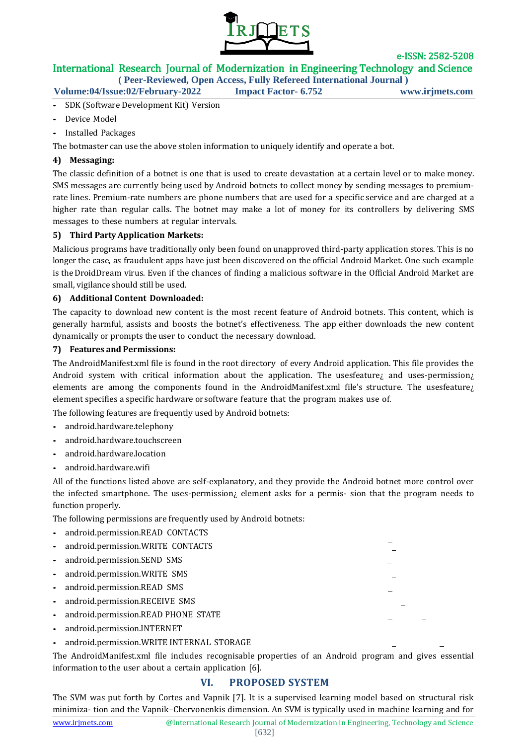

## International Research Journal of Modernization in Engineering Technology and Science

**( Peer-Reviewed, Open Access, Fully Refereed International Journal )**

**Volume:04/Issue:02/February-2022 Impact Factor- 6.752 www.irjmets.com**

- *•* SDK (Software Development Kit) Version
- *•* Device Model
- *•* Installed Packages

The botmaster can use the above stolen information to uniquely identify and operate a bot.

#### **4) Messaging:**

The classic definition of a botnet is one that is used to create devastation at a certain level or to make money. SMS messages are currently being used by Android botnets to collect money by sending messages to premiumrate lines. Premium-rate numbers are phone numbers that are used for a specific service and are charged at a higher rate than regular calls. The botnet may make a lot of money for its controllers by delivering SMS messages to these numbers at regular intervals.

#### **5) Third Party Application Markets:**

Malicious programs have traditionally only been found on unapproved third-party application stores. This is no longer the case, as fraudulent apps have just been discovered on the official Android Market. One such example is theDroidDream virus. Even if the chances of finding a malicious software in the Official Android Market are small, vigilance should still be used.

#### **6) Additional Content Downloaded:**

The capacity to download new content is the most recent feature of Android botnets. This content, which is generally harmful, assists and boosts the botnet's effectiveness. The app either downloads the new content dynamically or prompts the user to conduct the necessary download.

#### **7) Features and Permissions:**

The AndroidManifest.xml file is found in the root directory of every Android application. This file provides the Android system with critical information about the application. The usesfeature; and uses-permission; elements are among the components found in the AndroidManifest.xml file's structure. The usesfeature¿ element specifies a specific hardware or software feature that the program makes use of.

The following features are frequently used by Android botnets:

- *•* android.hardware.telephony
- *•* android.hardware.touchscreen
- *•* android.hardware.location
- *•* android.hardware.wifi

All of the functions listed above are self-explanatory, and they provide the Android botnet more control over the infected smartphone. The uses-permission¿ element asks for a permis- sion that the program needs to function properly.

The following permissions are frequently used by Android botnets:

- *•* android.permission.READ CONTACTS *•* android.permission.WRITE CONTACTS *•* android.permission.SEND SMS *•* android.permission.WRITE SMS *•* android.permission.READ SMS *•* android.permission.RECEIVE SMS *•* android.permission.READ PHONE STATE *•* android.permission.INTERNET
- *•* android.permission.WRITE INTERNAL STORAGE

The AndroidManifest.xml file includes recognisable properties of an Android program and gives essential information to the user about a certain application [\[6\]](#page-7-4).

## **VI. PROPOSED SYSTEM**

The SVM was put forth by Cortes and Vapnik [\[7\]](#page-7-5). It is a supervised learning model based on structural risk minimiza- tion and the Vapnik–Chervonenkis dimension. An SVM is typically used in machine learning and for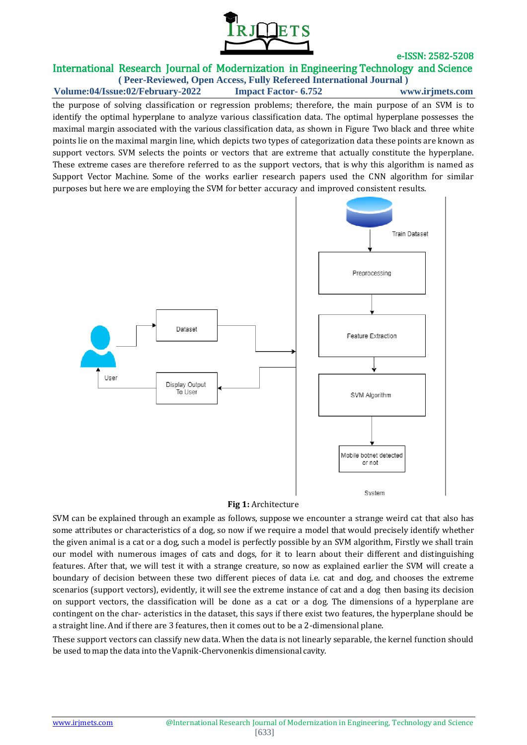

## e-ISSN: 2582-5208 International Research Journal of Modernization in Engineering Technology and Science

**( Peer-Reviewed, Open Access, Fully Refereed International Journal ) Volume:04/Issue:02/February-2022 Impact Factor- 6.752 www.irjmets.com**

the purpose of solving classification or regression problems; therefore, the main purpose of an SVM is to identify the optimal hyperplane to analyze various classification data. The optimal hyperplane possesses the maximal margin associated with the various classification data, as shown in Figure Two black and three white points lie on the maximal margin line, which depicts two types of categorization data these points are known as support vectors. SVM selects the points or vectors that are extreme that actually constitute the hyperplane. These extreme cases are therefore referred to as the support vectors, that is why this algorithm is named as Support Vector Machine. Some of the works earlier research papers used the CNN algorithm for similar purposes but here we are employing the SVM for better accuracy and improved consistent results.



#### **Fig 1:** Architecture

SVM can be explained through an example as follows, suppose we encounter a strange weird cat that also has some attributes or characteristics of a dog, so now if we require a model that would precisely identify whether the given animal is a cat or a dog, such a model is perfectly possible by an SVM algorithm, Firstly we shall train our model with numerous images of cats and dogs, for it to learn about their different and distinguishing features. After that, we will test it with a strange creature, so now as explained earlier the SVM will create a boundary of decision between these two different pieces of data i.e. cat and dog, and chooses the extreme scenarios (support vectors), evidently, it will see the extreme instance of cat and a dog then basing its decision on support vectors, the classification will be done as a cat or a dog. The dimensions of a hyperplane are contingent on the char- acteristics in the dataset, this says if there exist two features, the hyperplane should be a straight line. And if there are 3 features, then it comes out to be a 2-dimensional plane.

These support vectors can classify new data. When the data is not linearly separable, the kernel function should be used to map the data into the Vapnik-Chervonenkis dimensional cavity.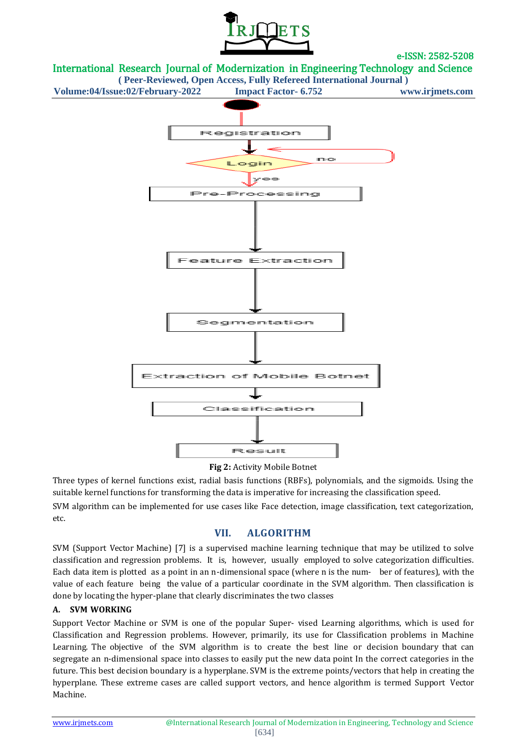



**( Peer-Reviewed, Open Access, Fully Refereed International Journal )**



#### **Fig 2:** Activity Mobile Botnet

Three types of kernel functions exist, radial basis functions (RBFs), polynomials, and the sigmoids. Using the suitable kernel functions for transforming the data is imperative for increasing the classification speed.

SVM algorithm can be implemented for use cases like Face detection, image classification, text categorization, etc.

## **VII. ALGORITHM**

SVM (Support Vector Machine) [\[7\]](#page-7-5) is a supervised machine learning technique that may be utilized to solve classification and regression problems. It is, however, usually employed to solve categorization difficulties. Each data item is plotted as a point in an n-dimensional space (where n is the num- ber of features), with the value of each feature being the value of a particular coordinate in the SVM algorithm. Then classification is done by locating the hyper-plane that clearly discriminates the two classes

#### **A. SVM WORKING**

Support Vector Machine or SVM is one of the popular Super- vised Learning algorithms, which is used for Classification and Regression problems. However, primarily, its use for Classification problems in Machine Learning. The objective of the SVM algorithm is to create the best line or decision boundary that can segregate an n-dimensional space into classes to easily put the new data point In the correct categories in the future. This best decision boundary is a hyperplane. SVM is the extreme points/vectors that help in creating the hyperplane. These extreme cases are called support vectors, and hence algorithm is termed Support Vector Machine.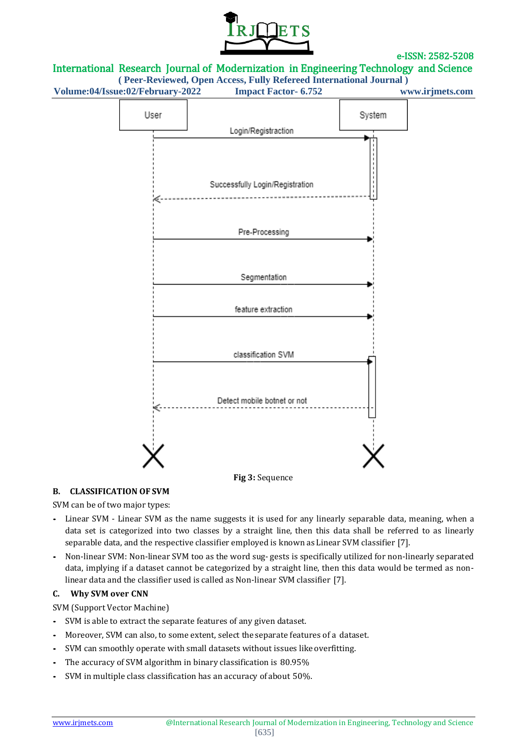

## International Research Journal of Modernization in Engineering Technology and Science

**( Peer-Reviewed, Open Access, Fully Refereed International Journal )**

**Volume:04/Issue:02/February-2022 Impact Factor- 6.752 www.irjmets.com**



#### **B. CLASSIFICATION OF SVM**

SVM can be of two major types:

- *•* Linear SVM Linear SVM as the name suggests it is used for any linearly separable data, meaning, when a data set is categorized into two classes by a straight line, then this data shall be referred to as linearly separable data, and the respective classifier employed is known as Linear SVM classifier [\[7\]](#page-7-5).
- *•* Non-linear SVM: Non-linear SVM too as the word sug- gests is specifically utilized for non-linearly separated data, implying if a dataset cannot be categorized by a straight line, then this data would be termed as nonlinear data and the classifier used is called as Non-linear SVM classifier [\[7\]](#page-7-5).

#### **C. Why SVM over CNN**

SVM (Support Vector Machine)

- *•* SVM is able to extract the separate features of any given dataset.
- *•* Moreover, SVM can also, to some extent, select the separate features of a dataset.
- *•* SVM can smoothly operate with small datasets without issues like overfitting.
- *•* The accuracy of SVM algorithm in binary classification is 80.95%
- *•* SVM in multiple class classification has an accuracy of about 50%.